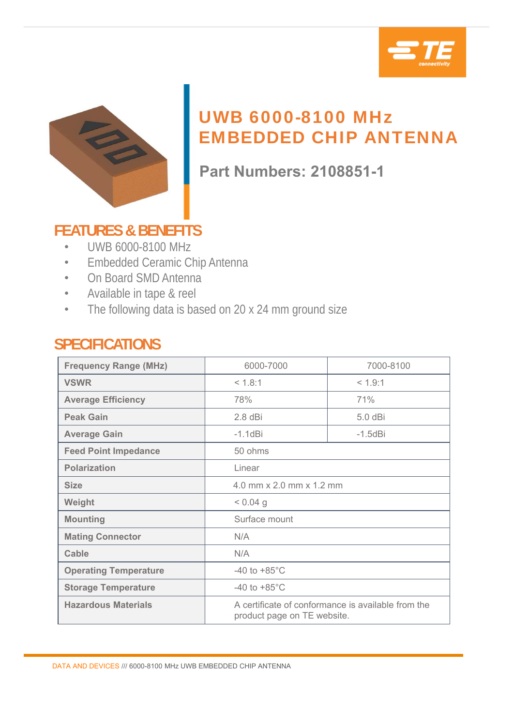



# UWB 6000-8100 MHz EMBEDDED CHIP ANTENNA

**Part Numbers: 2108851-1**

## **FEATURES & BENEFITS**

- UWB 6000-8100 MHz
- Embedded Ceramic Chip Antenna
- On Board SMD Antenna
- Available in tape & reel
- The following data is based on 20 x 24 mm ground size

### **SPECIFICATIONS**

| <b>Frequency Range (MHz)</b> | 6000-7000                                                                         | 7000-8100     |
|------------------------------|-----------------------------------------------------------------------------------|---------------|
| <b>VSWR</b>                  | < 1.8:1                                                                           | < 1.9:1       |
| <b>Average Efficiency</b>    | 78%                                                                               | 71%           |
| <b>Peak Gain</b>             | $2.8$ dBi                                                                         | 5.0 dBi       |
| <b>Average Gain</b>          | $-1.1$ d $Bi$                                                                     | $-1.5$ d $Bi$ |
| <b>Feed Point Impedance</b>  | 50 ohms                                                                           |               |
| <b>Polarization</b>          | Linear                                                                            |               |
| <b>Size</b>                  | 4.0 mm x 2.0 mm x 1.2 mm                                                          |               |
| Weight                       | $< 0.04$ g                                                                        |               |
| <b>Mounting</b>              | Surface mount                                                                     |               |
| <b>Mating Connector</b>      | N/A                                                                               |               |
| <b>Cable</b>                 | N/A                                                                               |               |
| <b>Operating Temperature</b> | -40 to $+85^{\circ}$ C                                                            |               |
| <b>Storage Temperature</b>   | -40 to $+85^{\circ}$ C                                                            |               |
| <b>Hazardous Materials</b>   | A certificate of conformance is available from the<br>product page on TE website. |               |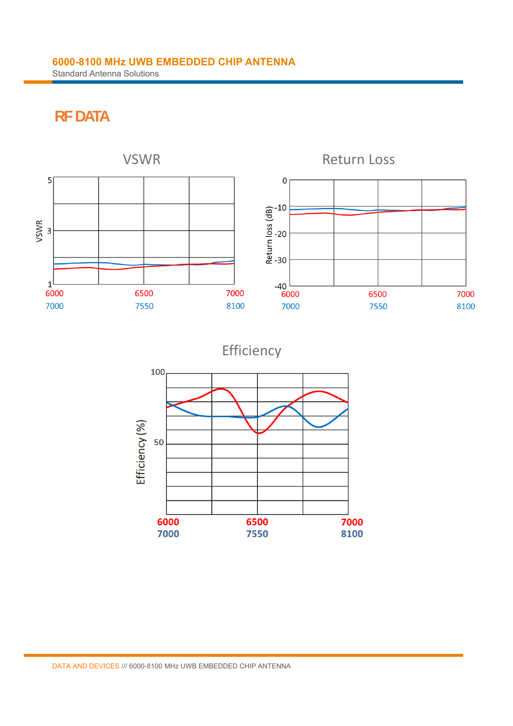## **RF DATA**



Efficiency

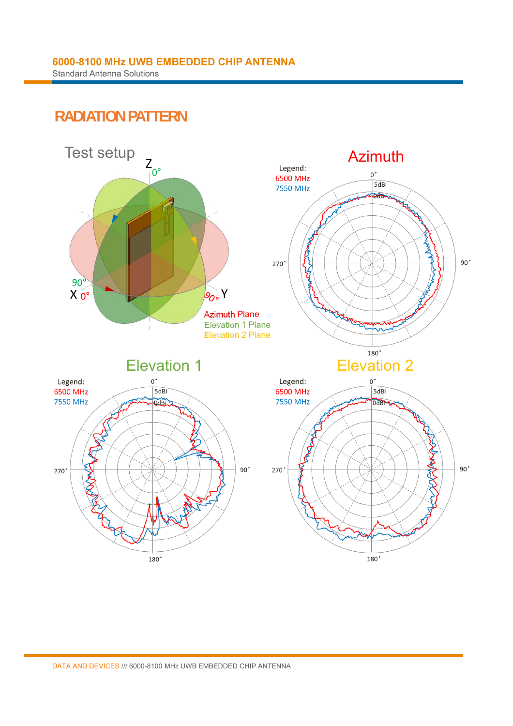### **RADIATION PATTERN**

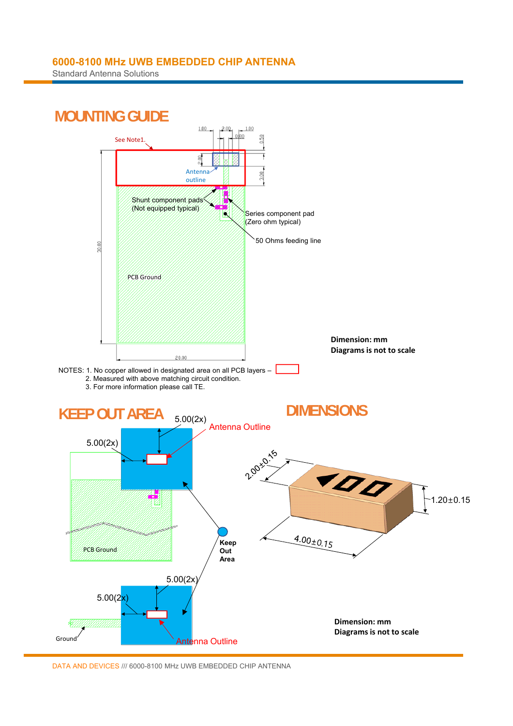Standard Antenna Solutions

![](_page_3_Figure_2.jpeg)

DATA AND DEVICES /// 6000-8100 MHz UWB EMBEDDED CHIP ANTENNA